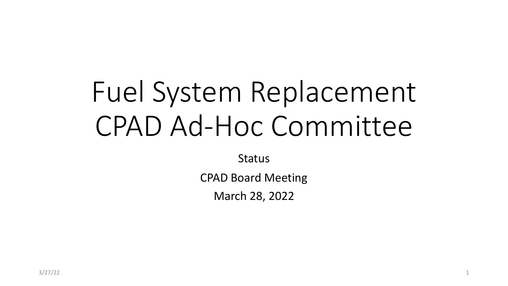# Fuel System Replacement CPAD Ad-Hoc Committee

**Status** 

CPAD Board Meeting

March 28, 2022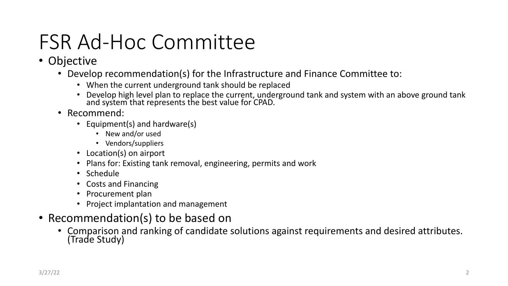# FSR Ad-Hoc Committee

#### • Objective

- Develop recommendation(s) for the Infrastructure and Finance Committee to:
	- When the current underground tank should be replaced
	- Develop high level plan to replace the current, underground tank and system with an above ground tank and system that represents the best value for CPAD.
- Recommend:
	- Equipment(s) and hardware(s)
		- New and/or used
		- Vendors/suppliers
	- Location(s) on airport
	- Plans for: Existing tank removal, engineering, permits and work
	- Schedule
	- Costs and Financing
	- Procurement plan
	- Project implantation and management
- Recommendation(s) to be based on
	- Comparison and ranking of candidate solutions against requirements and desired attributes. (Trade Study)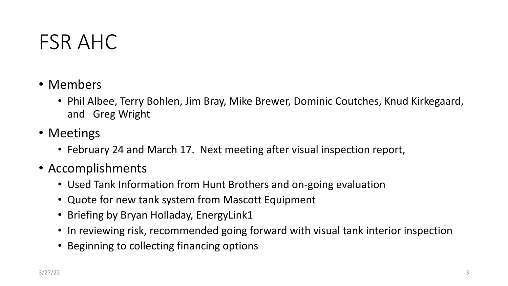### FSR AHC

- Members
	- Phil Albee, Terry Bohlen, Jim Bray, Mike Brewer, Dominic Coutches, Knud Kirkegaard, and Greg Wright
- Meetings
	- February 24 and March 17. Next meeting after visual inspection report,
- Accomplishments
	- Used Tank Information from Hunt Brothers and on-going evaluation
	- Quote for new tank system from Mascott Equipment
	- Briefing by Bryan Holladay, EnergyLink1
	- In reviewing risk, recommended going forward with visual tank interior inspection
	- Beginning to collecting financing options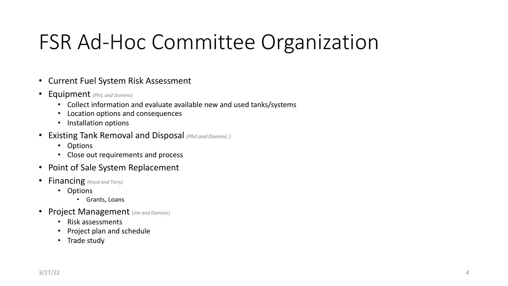# FSR Ad-Hoc Committee Organization

- Current Fuel System Risk Assessment
- Equipment *(Phil, and Dominic)*
	- Collect information and evaluate available new and used tanks/systems
	- Location options and consequences
	- Installation options
- Existing Tank Removal and Disposal *(Phil and Dominic )*
	- Options
	- Close out requirements and process
- Point of Sale System Replacement
- Financing *(Knud and Terry)*
	- Options
		- Grants, Loans
- Project Management *(Jim and Dominic)*
	- Risk assessments
	- Project plan and schedule
	- Trade study